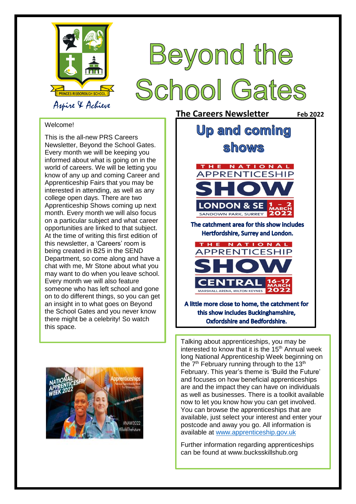

## Beyond the **School Gates**

## Welcome!

 Newsletter, Beyond the School Gates. informed about what is going on in the month. Every month we will also focus on a particular subject and what career opportunities are linked to that subject. At the time of writing this first edition of on to do different things, so you can get this space. This is the all-new PRS Careers Every month we will be keeping you world of careers. We will be letting you know of any up and coming Career and Apprenticeship Fairs that you may be interested in attending, as well as any college open days. There are two Apprenticeship Shows coming up next this newsletter, a 'Careers' room is being created in B25 in the SEND Department, so come along and have a chat with me, Mr Stone about what you may want to do when you leave school. Every month we will also feature someone who has left school and gone an insight in to what goes on Beyond the School Gates and you never know there might be a celebrity! So watch



**The Careers Newsletter** Feb 2022 **Up and coming** shows HE NATIONAL APPRENTICESHIP **LONDON & SE** SANDOWN PARK, SURREY The catchment area for this show includes Hertfordshire. Surrey and London. HE NATIONAL APPRENTICESHIP MARSHALL ARENA, MILTON KEYNES A little more close to home, the catchment for this show includes Buckinghamshire. **Oxfordshire and Bedfordshire.** 

Talking about apprenticeships, you may be interested to know that it is the 15<sup>th</sup> Annual week long National Apprenticeship Week beginning on the  $7<sup>th</sup>$  February running through to the  $13<sup>th</sup>$ February. This year's theme is 'Build the Future' and focuses on how beneficial apprenticeships are and the impact they can have on individuals as well as businesses. There is a toolkit available now to let you know how you can get involved. You can browse the apprenticeships that are available, just select your interest and enter your postcode and away you go. All information is available at [www.apprenticeship.gov.uk](http://www.apprenticeship.gov.uk/)

Further information regarding apprenticeships can be found at www.bucksskillshub.org